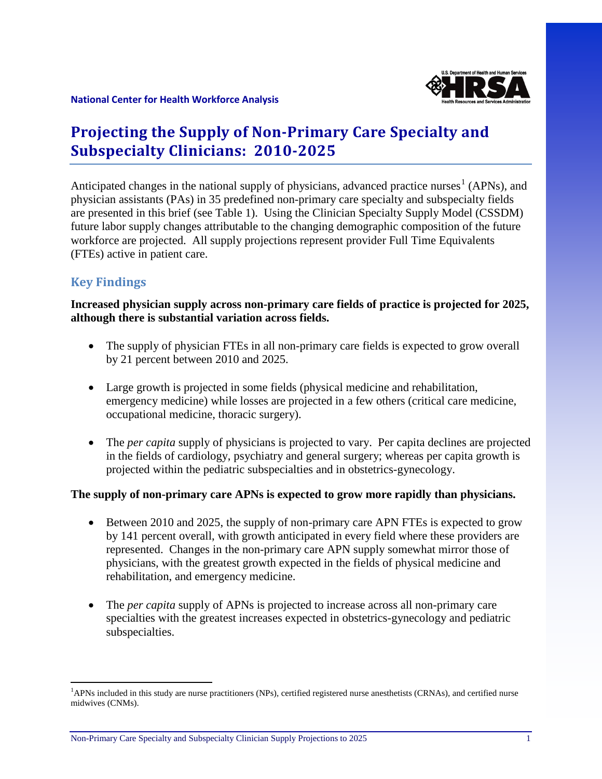

# **Projecting the Supply of Non-Primary Care Specialty and Subspecialty Clinicians: 2010-2025**

Anticipated changes in the national supply of physicians, advanced practice nurses<sup>[1](#page-0-0)</sup> (APNs), and physician assistants (PAs) in 35 predefined non-primary care specialty and subspecialty fields are presented in this brief (see Table 1). Using the Clinician Specialty Supply Model (CSSDM) future labor supply changes attributable to the changing demographic composition of the future workforce are projected. All supply projections represent provider Full Time Equivalents (FTEs) active in patient care.

## **Key Findings**

 $\overline{\phantom{a}}$ 

**Increased physician supply across non-primary care fields of practice is projected for 2025, although there is substantial variation across fields.** 

- The supply of physician FTEs in all non-primary care fields is expected to grow overall by 21 percent between 2010 and 2025.
- Large growth is projected in some fields (physical medicine and rehabilitation, emergency medicine) while losses are projected in a few others (critical care medicine, occupational medicine, thoracic surgery).
- The *per capita* supply of physicians is projected to vary. Per capita declines are projected in the fields of cardiology, psychiatry and general surgery; whereas per capita growth is projected within the pediatric subspecialties and in obstetrics-gynecology.

#### **The supply of non-primary care APNs is expected to grow more rapidly than physicians.**

- Between 2010 and 2025, the supply of non-primary care APN FTEs is expected to grow by 141 percent overall, with growth anticipated in every field where these providers are represented. Changes in the non-primary care APN supply somewhat mirror those of physicians, with the greatest growth expected in the fields of physical medicine and rehabilitation, and emergency medicine.
- The *per capita* supply of APNs is projected to increase across all non-primary care specialties with the greatest increases expected in obstetrics-gynecology and pediatric subspecialties.

<span id="page-0-0"></span><sup>&</sup>lt;sup>1</sup>APNs included in this study are nurse practitioners (NPs), certified registered nurse anesthetists (CRNAs), and certified nurse midwives (CNMs).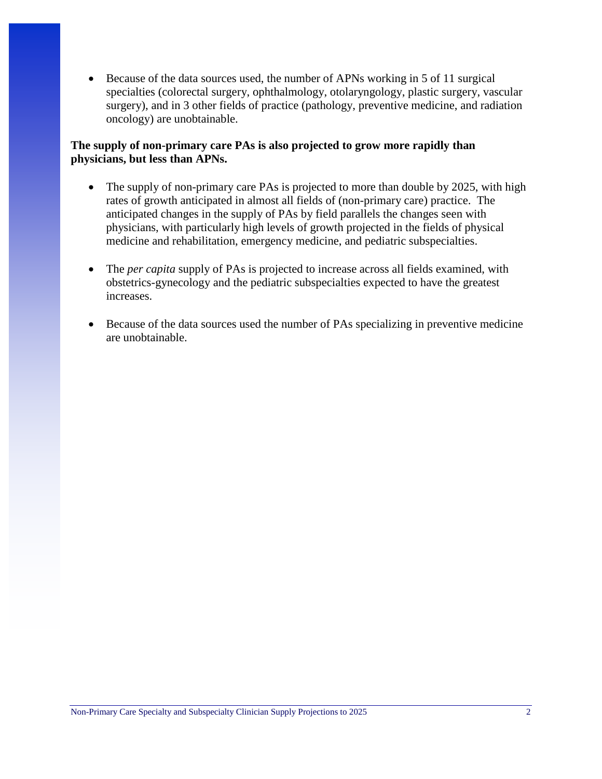• Because of the data sources used, the number of APNs working in 5 of 11 surgical specialties (colorectal surgery, ophthalmology, otolaryngology, plastic surgery, vascular surgery), and in 3 other fields of practice (pathology, preventive medicine, and radiation oncology) are unobtainable.

#### **The supply of non-primary care PAs is also projected to grow more rapidly than physicians, but less than APNs.**

- The supply of non-primary care PAs is projected to more than double by 2025, with high rates of growth anticipated in almost all fields of (non-primary care) practice. The anticipated changes in the supply of PAs by field parallels the changes seen with physicians, with particularly high levels of growth projected in the fields of physical medicine and rehabilitation, emergency medicine, and pediatric subspecialties.
- The *per capita* supply of PAs is projected to increase across all fields examined, with obstetrics-gynecology and the pediatric subspecialties expected to have the greatest increases.
- Because of the data sources used the number of PAs specializing in preventive medicine are unobtainable.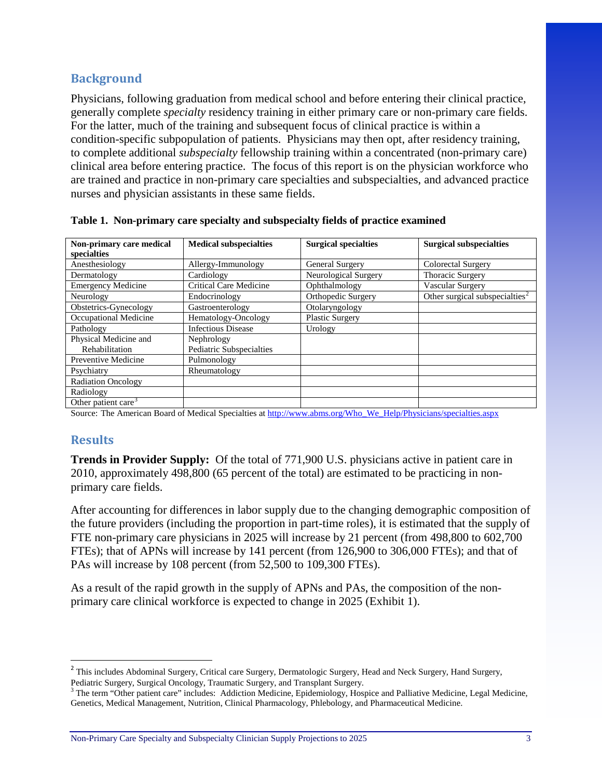## **Background**

Physicians, following graduation from medical school and before entering their clinical practice, generally complete *specialty* residency training in either primary care or non-primary care fields. For the latter, much of the training and subsequent focus of clinical practice is within a condition-specific subpopulation of patients. Physicians may then opt, after residency training, to complete additional *subspecialty* fellowship training within a concentrated (non-primary care) clinical area before entering practice. The focus of this report is on the physician workforce who are trained and practice in non-primary care specialties and subspecialties, and advanced practice nurses and physician assistants in these same fields.

| Non-primary care medical        | <b>Medical subspecialties</b> | <b>Surgical specialties</b> | <b>Surgical subspecialties</b>             |
|---------------------------------|-------------------------------|-----------------------------|--------------------------------------------|
| specialties                     |                               |                             |                                            |
| Anesthesiology                  | Allergy-Immunology            | General Surgery             | Colorectal Surgery                         |
| Dermatology                     | Cardiology                    | Neurological Surgery        | Thoracic Surgery                           |
| <b>Emergency Medicine</b>       | <b>Critical Care Medicine</b> | Ophthalmology               | Vascular Surgery                           |
| Neurology                       | Endocrinology                 | Orthopedic Surgery          | Other surgical subspecialties <sup>2</sup> |
| Obstetrics-Gynecology           | Gastroenterology              | Otolaryngology              |                                            |
| Occupational Medicine           | Hematology-Oncology           | <b>Plastic Surgery</b>      |                                            |
| Pathology                       | <b>Infectious Disease</b>     | Urology                     |                                            |
| Physical Medicine and           | Nephrology                    |                             |                                            |
| Rehabilitation                  | Pediatric Subspecialties      |                             |                                            |
| Preventive Medicine             | Pulmonology                   |                             |                                            |
| Psychiatry                      | Rheumatology                  |                             |                                            |
| <b>Radiation Oncology</b>       |                               |                             |                                            |
| Radiology                       |                               |                             |                                            |
| Other patient care <sup>3</sup> |                               |                             |                                            |

**Table 1. Non-primary care specialty and subspecialty fields of practice examined** 

Source: The American Board of Medical Specialties at [http://www.abms.org/Who\\_We\\_Help/Physicians/specialties.aspx](http://www.abms.org/Who_We_Help/Physicians/specialties.aspx)

## **Results**

 $\overline{\phantom{a}}$ 

**Trends in Provider Supply:** Of the total of 771,900 U.S. physicians active in patient care in 2010, approximately 498,800 (65 percent of the total) are estimated to be practicing in nonprimary care fields.

After accounting for differences in labor supply due to the changing demographic composition of the future providers (including the proportion in part-time roles), it is estimated that the supply of FTE non-primary care physicians in 2025 will increase by 21 percent (from 498,800 to 602,700 FTEs); that of APNs will increase by 141 percent (from 126,900 to 306,000 FTEs); and that of PAs will increase by 108 percent (from 52,500 to 109,300 FTEs).

As a result of the rapid growth in the supply of APNs and PAs, the composition of the nonprimary care clinical workforce is expected to change in 2025 (Exhibit 1).

<span id="page-2-0"></span><sup>&</sup>lt;sup>2</sup> This includes Abdominal Surgery, Critical care Surgery, Dermatologic Surgery, Head and Neck Surgery, Hand Surgery, Pediatric Surgery, Surgical Oncology, Traumatic Surgery, and Transplant Surgery.

<span id="page-2-1"></span><sup>&</sup>lt;sup>3</sup> The term "Other patient care" includes: Addiction Medicine, Epidemiology, Hospice and Palliative Medicine, Legal Medicine, Genetics, Medical Management, Nutrition, Clinical Pharmacology, Phlebology, and Pharmaceutical Medicine.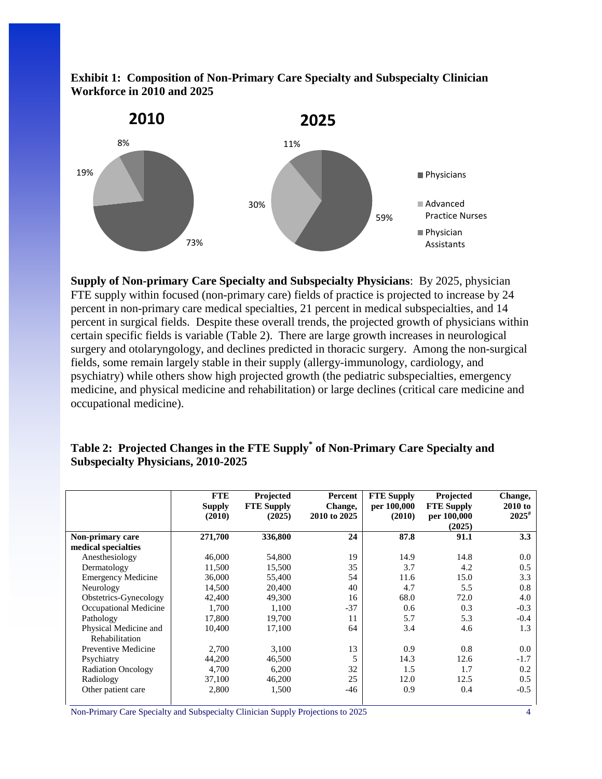



**Supply of Non-primary Care Specialty and Subspecialty Physicians**: By 2025, physician FTE supply within focused (non-primary care) fields of practice is projected to increase by 24 percent in non-primary care medical specialties, 21 percent in medical subspecialties, and 14 percent in surgical fields. Despite these overall trends, the projected growth of physicians within certain specific fields is variable (Table 2). There are large growth increases in neurological surgery and otolaryngology, and declines predicted in thoracic surgery. Among the non-surgical fields, some remain largely stable in their supply (allergy-immunology, cardiology, and psychiatry) while others show high projected growth (the pediatric subspecialties, emergency medicine, and physical medicine and rehabilitation) or large declines (critical care medicine and occupational medicine).

|                                         | <b>FTE</b><br><b>Supply</b><br>(2010) | Projected<br><b>FTE Supply</b><br>(2025) | Percent<br>Change,<br>2010 to 2025 | <b>FTE Supply</b><br>per 100,000<br>(2010) | Projected<br><b>FTE Supply</b><br>per 100,000<br>(2025) | Change,<br>2010 to<br>$2025^{\#}$ |
|-----------------------------------------|---------------------------------------|------------------------------------------|------------------------------------|--------------------------------------------|---------------------------------------------------------|-----------------------------------|
| Non-primary care                        | 271,700                               | 336,800                                  | 24                                 | 87.8                                       | 91.1                                                    | 3.3                               |
| medical specialties                     |                                       |                                          |                                    |                                            |                                                         |                                   |
| Anesthesiology                          | 46,000                                | 54,800                                   | 19                                 | 14.9                                       | 14.8                                                    | 0.0                               |
| Dermatology                             | 11,500                                | 15,500                                   | 35                                 | 3.7                                        | 4.2                                                     | 0.5                               |
| <b>Emergency Medicine</b>               | 36,000                                | 55,400                                   | 54                                 | 11.6                                       | 15.0                                                    | 3.3                               |
| Neurology                               | 14,500                                | 20,400                                   | 40                                 | 4.7                                        | 5.5                                                     | 0.8                               |
| Obstetrics-Gynecology                   | 42,400                                | 49,300                                   | 16                                 | 68.0                                       | 72.0                                                    | 4.0                               |
| Occupational Medicine                   | 1,700                                 | 1,100                                    | $-37$                              | 0.6                                        | 0.3                                                     | $-0.3$                            |
| Pathology                               | 17,800                                | 19.700                                   | 11                                 | 5.7                                        | 5.3                                                     | $-0.4$                            |
| Physical Medicine and<br>Rehabilitation | 10,400                                | 17,100                                   | 64                                 | 3.4                                        | 4.6                                                     | 1.3                               |
| Preventive Medicine                     | 2,700                                 | 3,100                                    | 13                                 | 0.9                                        | 0.8                                                     | 0.0                               |
| Psychiatry                              | 44,200                                | 46,500                                   | 5                                  | 14.3                                       | 12.6                                                    | $-1.7$                            |
| <b>Radiation Oncology</b>               | 4,700                                 | 6,200                                    | 32                                 | 1.5                                        | 1.7                                                     | 0.2                               |
| Radiology                               | 37,100                                | 46,200                                   | 25                                 | 12.0                                       | 12.5                                                    | 0.5                               |
| Other patient care                      | 2,800                                 | 1,500                                    | $-46$                              | 0.9                                        | 0.4                                                     | $-0.5$                            |

#### **Table 2: Projected Changes in the FTE Supply\* of Non-Primary Care Specialty and Subspecialty Physicians, 2010-2025**

Non-Primary Care Specialty and Subspecialty Clinician Supply Projections to 2025 4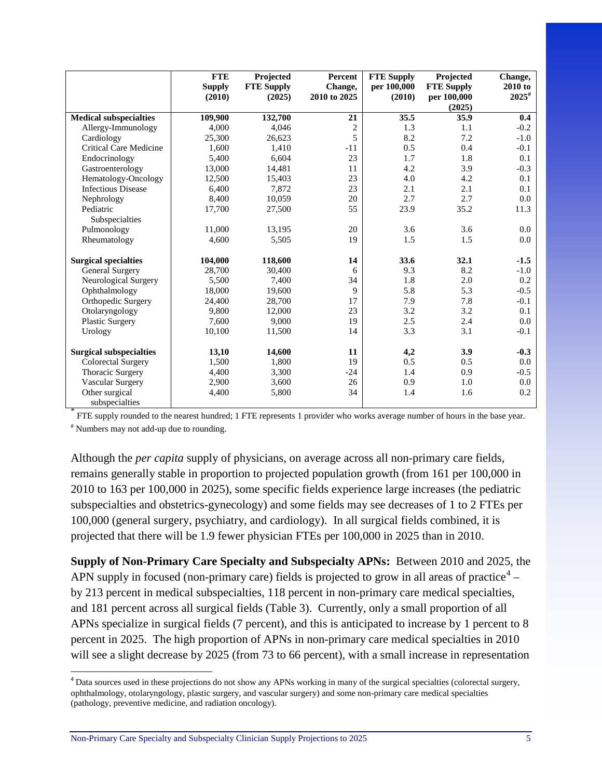|                                | <b>FTE</b><br><b>Supply</b> | Projected<br><b>FTE Supply</b> | Percent<br>Change, | <b>FTE Supply</b><br>per 100,000 | Projected<br><b>FTE Supply</b> | Change,<br>2010 to |
|--------------------------------|-----------------------------|--------------------------------|--------------------|----------------------------------|--------------------------------|--------------------|
|                                | (2010)                      | (2025)                         | 2010 to 2025       | (2010)                           | per 100,000<br>(2025)          | $2025^{\#}$        |
| <b>Medical subspecialties</b>  | 109,900                     | 132,700                        | 21                 | 35.5                             | 35.9                           | 0.4                |
| Allergy-Immunology             | 4,000                       | 4.046                          | $\overline{c}$     | 1.3                              | 1.1                            | $-0.2$             |
| Cardiology                     | 25,300                      | 26,623                         | 5                  | 8.2                              | 7.2                            | $-1.0$             |
| <b>Critical Care Medicine</b>  | 1,600                       | 1,410                          | $-11$              | 0.5                              | 0.4                            | $-0.1$             |
| Endocrinology                  | 5,400                       | 6,604                          | 23                 | 1.7                              | 1.8                            | 0.1                |
| Gastroenterology               | 13,000                      | 14,481                         | 11                 | 4.2                              | 3.9                            | $-0.3$             |
| Hematology-Oncology            | 12,500                      | 15,403                         | 23                 | 4.0                              | 4.2                            | 0.1                |
| <b>Infectious Disease</b>      | 6,400                       | 7,872                          | 23                 | 2.1                              | 2.1                            | 0.1                |
| Nephrology                     | 8,400                       | 10.059                         | 20                 | 2.7                              | 2.7                            | 0.0                |
| Pediatric                      | 17,700                      | 27,500                         | 55                 | 23.9                             | 35.2                           | 11.3               |
| Subspecialties                 |                             |                                |                    |                                  |                                |                    |
| Pulmonology                    | 11,000                      | 13,195                         | 20                 | 3.6                              | 3.6                            | 0.0                |
| Rheumatology                   | 4.600                       | 5,505                          | 19                 | 1.5                              | 1.5                            | 0.0                |
| <b>Surgical specialties</b>    | 104,000                     | 118,600                        | 14                 | 33.6                             | 32.1                           | $-1.5$             |
| <b>General Surgery</b>         | 28.700                      | 30,400                         | 6                  | 9.3                              | 8.2                            | $-1.0$             |
| Neurological Surgery           | 5,500                       | 7,400                          | 34                 | 1.8                              | 2.0                            | 0.2                |
| Ophthalmology                  | 18,000                      | 19,600                         | 9                  | 5.8                              | 5.3                            | $-0.5$             |
| Orthopedic Surgery             | 24,400                      | 28,700                         | 17                 | 7.9                              | 7.8                            | $-0.1$             |
| Otolaryngology                 | 9.800                       | 12.000                         | 23                 | 3.2                              | 3.2                            | 0.1                |
| <b>Plastic Surgery</b>         | 7,600                       | 9,000                          | 19                 | 2.5                              | 2.4                            | 0.0                |
| Urology                        | 10,100                      | 11,500                         | 14                 | 3.3                              | 3.1                            | $-0.1$             |
| <b>Surgical subspecialties</b> | 13,10                       | 14,600                         | 11                 | 4,2                              | 3.9                            | $-0.3$             |
| <b>Colorectal Surgery</b>      | 1,500                       | 1,800                          | 19                 | 0.5                              | 0.5                            | 0.0                |
| Thoracic Surgery               | 4,400                       | 3,300                          | $-24$              | 1.4                              | 0.9                            | $-0.5$             |
| Vascular Surgery               | 2,900                       | 3,600                          | 26                 | 0.9                              | 1.0                            | 0.0                |
| Other surgical                 | 4,400                       | 5,800                          | 34                 | 1.4                              | 1.6                            | 0.2                |
| subspecialties                 |                             |                                |                    |                                  |                                |                    |

FTE supply rounded to the nearest hundred; 1 FTE represents 1 provider who works average number of hours in the base year. # Numbers may not add-up due to rounding.

Although the *per capita* supply of physicians, on average across all non-primary care fields, remains generally stable in proportion to projected population growth (from 161 per 100,000 in 2010 to 163 per 100,000 in 2025), some specific fields experience large increases (the pediatric subspecialties and obstetrics-gynecology) and some fields may see decreases of 1 to 2 FTEs per 100,000 (general surgery, psychiatry, and cardiology). In all surgical fields combined, it is projected that there will be 1.9 fewer physician FTEs per 100,000 in 2025 than in 2010.

**Supply of Non-Primary Care Specialty and Subspecialty APNs:** Between 2010 and 2025, the APN supply in focused (non-primary care) fields is projected to grow in all areas of practice<sup>[4](#page-4-0)</sup> – by 213 percent in medical subspecialties, 118 percent in non-primary care medical specialties, and 181 percent across all surgical fields (Table 3). Currently, only a small proportion of all APNs specialize in surgical fields (7 percent), and this is anticipated to increase by 1 percent to 8 percent in 2025. The high proportion of APNs in non-primary care medical specialties in 2010 will see a slight decrease by 2025 (from 73 to 66 percent), with a small increase in representation

l

<span id="page-4-0"></span><sup>&</sup>lt;sup>4</sup> Data sources used in these projections do not show any APNs working in many of the surgical specialties (colorectal surgery, ophthalmology, otolaryngology, plastic surgery, and vascular surgery) and some non-primary care medical specialties (pathology, preventive medicine, and radiation oncology).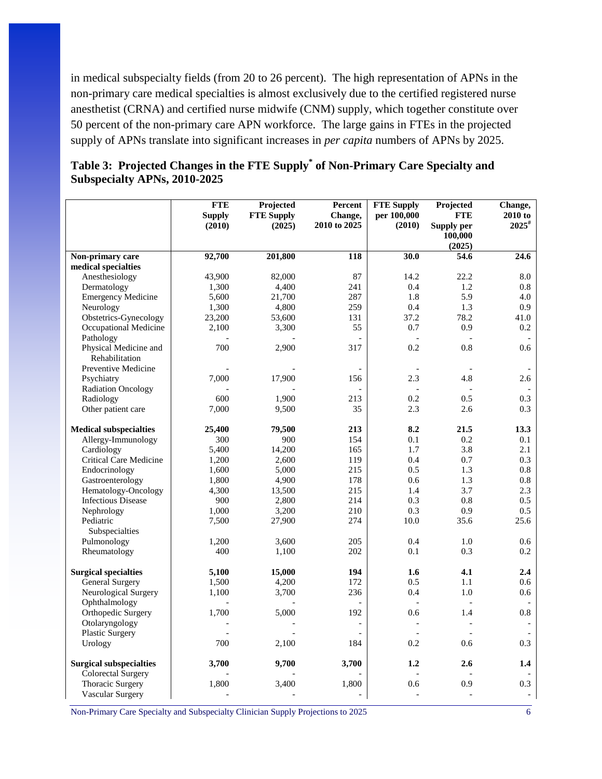in medical subspecialty fields (from 20 to 26 percent). The high representation of APNs in the non-primary care medical specialties is almost exclusively due to the certified registered nurse anesthetist (CRNA) and certified nurse midwife (CNM) supply, which together constitute over 50 percent of the non-primary care APN workforce. The large gains in FTEs in the projected supply of APNs translate into significant increases in *per capita* numbers of APNs by 2025.

|                                | <b>FTE</b>    | Projected         | Percent                  | <b>FTE Supply</b> | Projected             | Change,         |
|--------------------------------|---------------|-------------------|--------------------------|-------------------|-----------------------|-----------------|
|                                | <b>Supply</b> | <b>FTE Supply</b> | Change,                  | per 100,000       | <b>FTE</b>            | 2010 to         |
|                                | (2010)        | (2025)            | 2010 to 2025             | (2010)            | Supply per<br>100,000 | $2025^{\rm \#}$ |
|                                |               |                   |                          |                   | (2025)                |                 |
| Non-primary care               | 92,700        | 201,800           | 118                      | 30.0              | 54.6                  | 24.6            |
| medical specialties            |               |                   |                          |                   |                       |                 |
| Anesthesiology                 | 43,900        | 82,000            | 87                       | 14.2              | 22.2                  | 8.0             |
| Dermatology                    | 1,300         | 4,400             | 241                      | 0.4               | 1.2                   | 0.8             |
| <b>Emergency Medicine</b>      | 5,600         | 21,700            | 287                      | 1.8               | 5.9                   | 4.0             |
| Neurology                      | 1,300         | 4,800             | 259                      | 0.4               | 1.3                   | 0.9             |
| Obstetrics-Gynecology          | 23,200        | 53,600            | 131                      | 37.2              | 78.2                  | 41.0            |
| Occupational Medicine          | 2,100         | 3,300             | 55                       | 0.7               | 0.9                   | 0.2             |
| Pathology                      |               |                   |                          |                   |                       |                 |
| Physical Medicine and          | 700           | 2,900             | 317                      | 0.2               | 0.8                   | 0.6             |
| Rehabilitation                 |               |                   |                          |                   |                       |                 |
| Preventive Medicine            |               |                   |                          |                   |                       |                 |
| Psychiatry                     | 7,000         | 17,900            | 156                      | 2.3               | 4.8                   | 2.6             |
| <b>Radiation Oncology</b>      |               |                   |                          |                   |                       |                 |
| Radiology                      | 600           | 1,900             | 213                      | 0.2               | 0.5                   | 0.3             |
| Other patient care             | 7,000         | 9,500             | 35                       | 2.3               | 2.6                   | 0.3             |
| <b>Medical subspecialties</b>  | 25,400        | 79,500            | 213                      | 8.2               | 21.5                  | 13.3            |
| Allergy-Immunology             | 300           | 900               | 154                      | 0.1               | 0.2                   | 0.1             |
| Cardiology                     | 5,400         | 14,200            | 165                      | 1.7               | 3.8                   | 2.1             |
| Critical Care Medicine         | 1,200         | 2,600             | 119                      | 0.4               | 0.7                   | 0.3             |
| Endocrinology                  | 1,600         | 5,000             | 215                      | 0.5               | 1.3                   | 0.8             |
| Gastroenterology               | 1,800         | 4,900             | 178                      | 0.6               | 1.3                   | 0.8             |
| Hematology-Oncology            | 4,300         | 13,500            | 215                      | 1.4               | 3.7                   | 2.3             |
| <b>Infectious Disease</b>      | 900           | 2,800             | 214                      | 0.3               | 0.8                   | 0.5             |
| Nephrology                     | 1,000         | 3,200             | 210                      | 0.3               | 0.9                   | 0.5             |
| Pediatric                      | 7,500         | 27,900            | 274                      | 10.0              | 35.6                  | 25.6            |
| Subspecialties                 |               |                   |                          |                   |                       |                 |
| Pulmonology                    | 1,200         | 3,600             | 205                      | 0.4               | 1.0                   | 0.6             |
| Rheumatology                   | 400           | 1,100             | 202                      | 0.1               | 0.3                   | 0.2             |
| <b>Surgical specialties</b>    | 5,100         | 15,000            | 194                      | 1.6               | 4.1                   | 2.4             |
| <b>General Surgery</b>         | 1,500         | 4,200             | 172                      | 0.5               | 1.1                   | 0.6             |
| Neurological Surgery           | 1,100         | 3,700             | 236                      | 0.4               | 1.0                   | 0.6             |
| Ophthalmology                  |               |                   |                          |                   | $\overline{a}$        |                 |
| Orthopedic Surgery             | 1,700         | 5,000             | 192                      | 0.6               | 1.4                   | 0.8             |
| Otolaryngology                 |               |                   |                          |                   |                       |                 |
| <b>Plastic Surgery</b>         |               |                   |                          |                   |                       |                 |
| Urology                        | 700           | 2,100             | 184                      | 0.2               | 0.6                   | 0.3             |
| <b>Surgical subspecialties</b> | 3,700         | 9,700             | 3,700                    | 1.2               | 2.6                   | 1.4             |
| <b>Colorectal Surgery</b>      |               |                   |                          |                   |                       |                 |
| Thoracic Surgery               | 1,800         | 3,400             | 1,800                    | 0.6               | 0.9                   | 0.3             |
| Vascular Surgery               |               |                   | $\overline{\phantom{a}}$ |                   |                       |                 |

#### **Table 3: Projected Changes in the FTE Supply\* of Non-Primary Care Specialty and Subspecialty APNs, 2010-2025**

Non-Primary Care Specialty and Subspecialty Clinician Supply Projections to 2025 6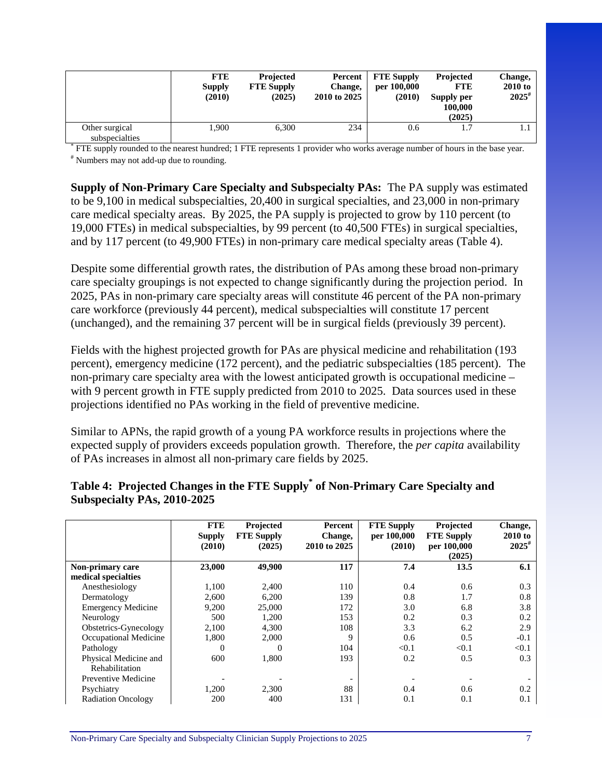|                                  | <b>FTE</b><br><b>Supply</b><br>(2010) | Projected<br><b>FTE Supply</b><br>(2025) | Percent  <br>Change,<br>2010 to 2025 | <b>FTE Supply</b><br>per 100,000<br>(2010) | Projected<br><b>FTE</b><br>Supply per<br>100.000<br>(2025) | Change,<br><b>2010 to</b><br>$2025^{\#}$ |
|----------------------------------|---------------------------------------|------------------------------------------|--------------------------------------|--------------------------------------------|------------------------------------------------------------|------------------------------------------|
| Other surgical<br>subspecialties | 1.900                                 | 6,300                                    | 234                                  | 0.6                                        | . 7                                                        |                                          |

FTE supply rounded to the nearest hundred; 1 FTE represents 1 provider who works average number of hours in the base year. # Numbers may not add-up due to rounding.

**Supply of Non-Primary Care Specialty and Subspecialty PAs:** The PA supply was estimated to be 9,100 in medical subspecialties, 20,400 in surgical specialties, and 23,000 in non-primary care medical specialty areas. By 2025, the PA supply is projected to grow by 110 percent (to 19,000 FTEs) in medical subspecialties, by 99 percent (to 40,500 FTEs) in surgical specialties, and by 117 percent (to 49,900 FTEs) in non-primary care medical specialty areas (Table 4).

Despite some differential growth rates, the distribution of PAs among these broad non-primary care specialty groupings is not expected to change significantly during the projection period. In 2025, PAs in non-primary care specialty areas will constitute 46 percent of the PA non-primary care workforce (previously 44 percent), medical subspecialties will constitute 17 percent (unchanged), and the remaining 37 percent will be in surgical fields (previously 39 percent).

Fields with the highest projected growth for PAs are physical medicine and rehabilitation (193 percent), emergency medicine (172 percent), and the pediatric subspecialties (185 percent). The non-primary care specialty area with the lowest anticipated growth is occupational medicine – with 9 percent growth in FTE supply predicted from 2010 to 2025. Data sources used in these projections identified no PAs working in the field of preventive medicine.

Similar to APNs, the rapid growth of a young PA workforce results in projections where the expected supply of providers exceeds population growth. Therefore, the *per capita* availability of PAs increases in almost all non-primary care fields by 2025.

|                           | <b>FTE</b><br><b>Supply</b> | Projected<br><b>FTE Supply</b> | Percent<br>Change, | <b>FTE Supply</b><br>per 100,000 | Projected<br><b>FTE Supply</b> | Change,<br>2010 to |
|---------------------------|-----------------------------|--------------------------------|--------------------|----------------------------------|--------------------------------|--------------------|
|                           | (2010)                      | (2025)                         | 2010 to 2025       | (2010)                           | per 100,000<br>(2025)          | $2025^{\#}$        |
| Non-primary care          | 23,000                      | 49,900                         | 117                | 7.4                              | 13.5                           | 6.1                |
| medical specialties       |                             |                                |                    |                                  |                                |                    |
| Anesthesiology            | 1,100                       | 2.400                          | 110                | 0.4                              | 0.6                            | 0.3                |
| Dermatology               | 2,600                       | 6,200                          | 139                | 0.8                              | 1.7                            | 0.8                |
| <b>Emergency Medicine</b> | 9,200                       | 25,000                         | 172                | 3.0                              | 6.8                            | 3.8                |
| Neurology                 | 500                         | 1,200                          | 153                | 0.2                              | 0.3                            | 0.2                |
| Obstetrics-Gynecology     | 2,100                       | 4,300                          | 108                | 3.3                              | 6.2                            | 2.9                |
| Occupational Medicine     | 1,800                       | 2,000                          | 9                  | 0.6                              | 0.5                            | $-0.1$             |
| Pathology                 | 0                           | 0                              | 104                | < 0.1                            | < 0.1                          | < 0.1              |
| Physical Medicine and     | 600                         | 1,800                          | 193                | 0.2                              | 0.5                            | 0.3                |
| Rehabilitation            |                             |                                |                    |                                  |                                |                    |
| Preventive Medicine       |                             |                                |                    |                                  |                                |                    |
| Psychiatry                | 1,200                       | 2,300                          | 88                 | 0.4                              | 0.6                            | 0.2                |
| <b>Radiation Oncology</b> | 200                         | 400                            | 131                | 0.1                              | 0.1                            | 0.1                |

#### **Table 4: Projected Changes in the FTE Supply\* of Non-Primary Care Specialty and Subspecialty PAs, 2010-2025**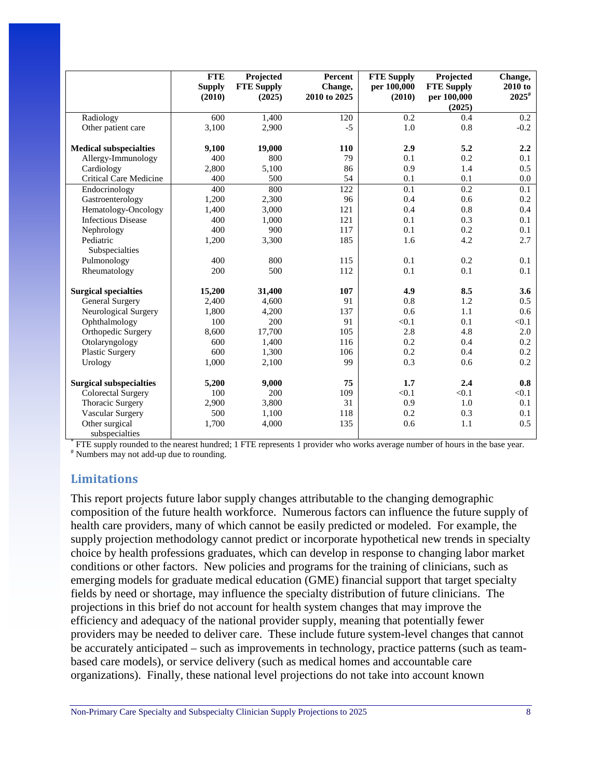|                                | <b>FTE</b><br><b>Supply</b> | Projected<br><b>FTE Supply</b> | Percent<br>Change, | <b>FTE Supply</b><br>per 100,000 | Projected<br><b>FTE Supply</b> | Change,<br>2010 to |
|--------------------------------|-----------------------------|--------------------------------|--------------------|----------------------------------|--------------------------------|--------------------|
|                                | (2010)                      | (2025)                         | 2010 to 2025       | (2010)                           | per 100,000<br>(2025)          | $2025^{\#}$        |
| Radiology                      | 600                         | 1,400                          | 120                | 0.2                              | 0.4                            | 0.2                |
| Other patient care             | 3,100                       | 2,900                          | $-5$               | 1.0                              | 0.8                            | $-0.2$             |
| <b>Medical subspecialties</b>  | 9,100                       | 19,000                         | 110                | 2.9                              | 5.2                            | 2.2                |
| Allergy-Immunology             | 400                         | 800                            | 79                 | 0.1                              | 0.2                            | 0.1                |
| Cardiology                     | 2,800                       | 5,100                          | 86                 | 0.9                              | 1.4                            | 0.5                |
| <b>Critical Care Medicine</b>  | 400                         | 500                            | 54                 | 0.1                              | 0.1                            | 0.0                |
| Endocrinology                  | 400                         | 800                            | 122                | 0.1                              | 0.2                            | 0.1                |
| Gastroenterology               | 1,200                       | 2,300                          | 96                 | 0.4                              | 0.6                            | 0.2                |
| Hematology-Oncology            | 1,400                       | 3,000                          | 121                | 0.4                              | 0.8                            | 0.4                |
| <b>Infectious Disease</b>      | 400                         | 1,000                          | 121                | 0.1                              | 0.3                            | 0.1                |
| Nephrology                     | 400                         | 900                            | 117                | 0.1                              | 0.2                            | 0.1                |
| Pediatric                      | 1,200                       | 3,300                          | 185                | 1.6                              | 4.2                            | 2.7                |
| Subspecialties                 |                             |                                |                    |                                  |                                |                    |
| Pulmonology                    | 400                         | 800                            | 115                | 0.1                              | 0.2                            | 0.1                |
| Rheumatology                   | 200                         | 500                            | 112                | 0.1                              | 0.1                            | 0.1                |
|                                |                             |                                |                    |                                  |                                |                    |
| <b>Surgical specialties</b>    | 15,200                      | 31,400                         | 107                | 4.9                              | 8.5                            | 3.6                |
| General Surgery                | 2,400                       | 4,600                          | 91                 | 0.8                              | 1.2                            | 0.5                |
| Neurological Surgery           | 1,800                       | 4,200                          | 137                | 0.6                              | 1.1                            | 0.6                |
| Ophthalmology                  | 100                         | 200                            | 91                 | < 0.1                            | 0.1                            | < 0.1              |
| Orthopedic Surgery             | 8,600                       | 17,700                         | 105                | 2.8                              | 4.8                            | 2.0                |
| Otolaryngology                 | 600                         | 1,400                          | 116                | 0.2                              | 0.4                            | 0.2                |
| <b>Plastic Surgery</b>         | 600                         | 1,300                          | 106                | 0.2                              | 0.4                            | 0.2                |
| Urology                        | 1,000                       | 2,100                          | 99                 | 0.3                              | 0.6                            | 0.2                |
| <b>Surgical subspecialties</b> | 5,200                       | 9,000                          | 75                 | 1.7                              | 2.4                            | 0.8                |
| Colorectal Surgery             | 100                         | 200                            | 109                | < 0.1                            | < 0.1                          | < 0.1              |
| Thoracic Surgery               | 2,900                       | 3,800                          | 31                 | 0.9                              | 1.0                            | 0.1                |
| Vascular Surgery               | 500                         | 1,100                          | 118                | 0.2                              | 0.3                            | 0.1                |
| Other surgical                 | 1,700                       | 4,000                          | 135                | 0.6                              | 1.1                            | 0.5                |
| subspecialties                 |                             |                                |                    |                                  |                                |                    |

\* FTE supply rounded to the nearest hundred; 1 FTE represents 1 provider who works average number of hours in the base year. # Numbers may not add-up due to rounding.

#### **Limitations**

This report projects future labor supply changes attributable to the changing demographic composition of the future health workforce. Numerous factors can influence the future supply of health care providers, many of which cannot be easily predicted or modeled. For example, the supply projection methodology cannot predict or incorporate hypothetical new trends in specialty choice by health professions graduates, which can develop in response to changing labor market conditions or other factors. New policies and programs for the training of clinicians, such as emerging models for graduate medical education (GME) financial support that target specialty fields by need or shortage, may influence the specialty distribution of future clinicians. The projections in this brief do not account for health system changes that may improve the efficiency and adequacy of the national provider supply, meaning that potentially fewer providers may be needed to deliver care. These include future system-level changes that cannot be accurately anticipated – such as improvements in technology, practice patterns (such as teambased care models), or service delivery (such as medical homes and accountable care organizations). Finally, these national level projections do not take into account known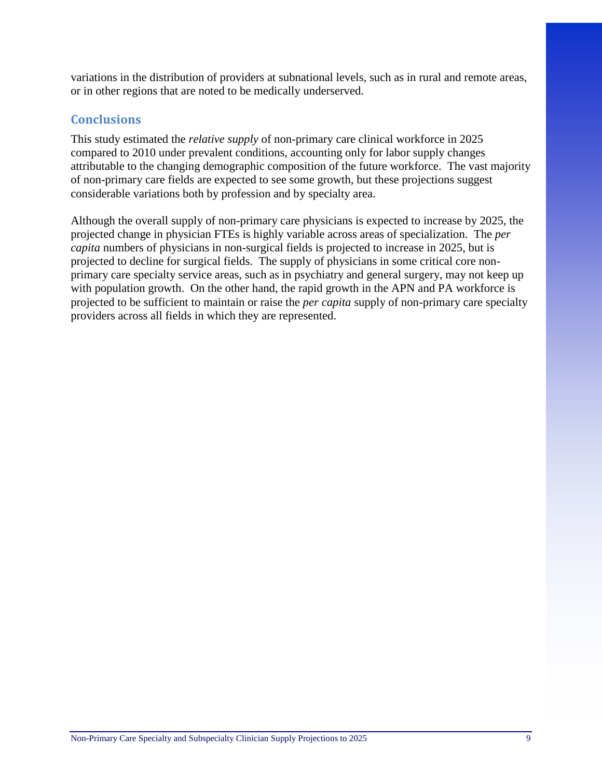variations in the distribution of providers at subnational levels, such as in rural and remote areas, or in other regions that are noted to be medically underserved.

## **Conclusions**

This study estimated the *relative supply* of non-primary care clinical workforce in 2025 compared to 2010 under prevalent conditions, accounting only for labor supply changes attributable to the changing demographic composition of the future workforce. The vast majority of non-primary care fields are expected to see some growth, but these projections suggest considerable variations both by profession and by specialty area.

Although the overall supply of non-primary care physicians is expected to increase by 2025, the projected change in physician FTEs is highly variable across areas of specialization. The *per capita* numbers of physicians in non-surgical fields is projected to increase in 2025, but is projected to decline for surgical fields. The supply of physicians in some critical core nonprimary care specialty service areas, such as in psychiatry and general surgery, may not keep up with population growth. On the other hand, the rapid growth in the APN and PA workforce is projected to be sufficient to maintain or raise the *per capita* supply of non-primary care specialty providers across all fields in which they are represented.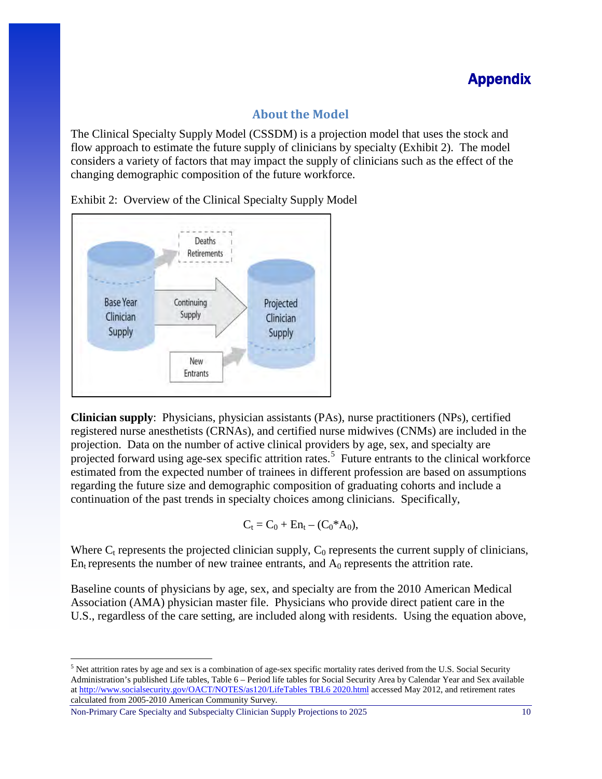## Appendix

## **About the Model**

The Clinical Specialty Supply Model (CSSDM) is a projection model that uses the stock and flow approach to estimate the future supply of clinicians by specialty (Exhibit 2). The model considers a variety of factors that may impact the supply of clinicians such as the effect of the changing demographic composition of the future workforce.



Exhibit 2: Overview of the Clinical Specialty Supply Model

**Clinician supply**: Physicians, physician assistants (PAs), nurse practitioners (NPs), certified registered nurse anesthetists (CRNAs), and certified nurse midwives (CNMs) are included in the projection. Data on the number of active clinical providers by age, sex, and specialty are projected forward using age-sex specific attrition rates.<sup>[5](#page-9-0)</sup> Future entrants to the clinical workforce estimated from the expected number of trainees in different profession are based on assumptions regarding the future size and demographic composition of graduating cohorts and include a continuation of the past trends in specialty choices among clinicians. Specifically,

$$
C_t = C_0 + En_t - (C_0^*A_0),
$$

Where  $C_t$  represents the projected clinician supply,  $C_0$  represents the current supply of clinicians,  $En<sub>t</sub>$  represents the number of new trainee entrants, and  $A<sub>0</sub>$  represents the attrition rate.

Baseline counts of physicians by age, sex, and specialty are from the 2010 American Medical Association (AMA) physician master file. Physicians who provide direct patient care in the U.S., regardless of the care setting, are included along with residents. Using the equation above,

Non-Primary Care Specialty and Subspecialty Clinician Supply Projections to 2025 10

 $\overline{\phantom{a}}$ 

<span id="page-9-0"></span><sup>&</sup>lt;sup>5</sup> Net attrition rates by age and sex is a combination of age-sex specific mortality rates derived from the U.S. Social Security Administration's published Life tables, Table 6 – Period life tables for Social Security Area by Calendar Year and Sex available a[t http://www.socialsecurity.gov/OACT/NOTES/as120/LifeTables TBL6 2020.html](http://www.socialsecurity.gov/OACT/NOTES/as120/LifeTables%20TBL6%202020.html) accessed May 2012, and retirement rates calculated from 2005-2010 American Community Survey.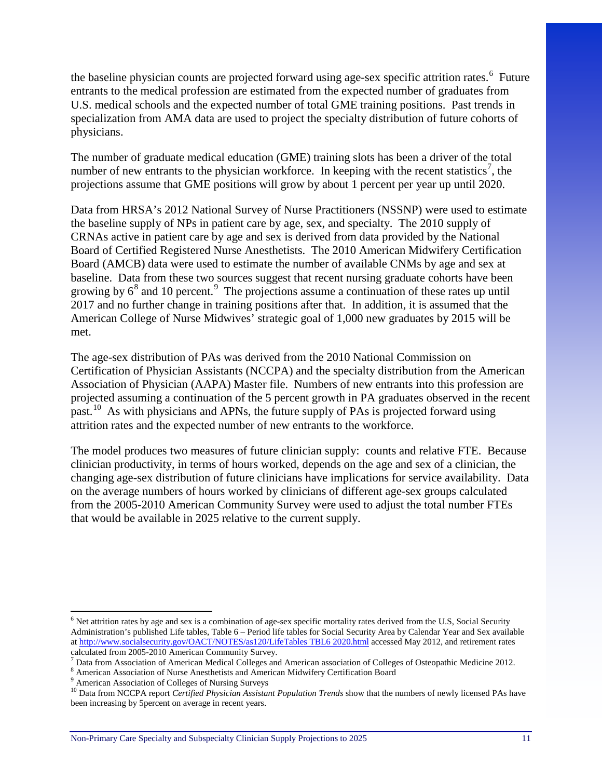the baseline physician counts are projected forward using age-sex specific attrition rates. [6](#page-10-0) Future entrants to the medical profession are estimated from the expected number of graduates from U.S. medical schools and the expected number of total GME training positions. Past trends in specialization from AMA data are used to project the specialty distribution of future cohorts of physicians.

The number of graduate medical education (GME) training slots has been a driver of the total number of new entrants to the physician workforce. In keeping with the recent statistics<sup>[7](#page-10-1)</sup>, the projections assume that GME positions will grow by about 1 percent per year up until 2020.

Data from HRSA's 2012 National Survey of Nurse Practitioners (NSSNP) were used to estimate the baseline supply of NPs in patient care by age, sex, and specialty. The 2010 supply of CRNAs active in patient care by age and sex is derived from data provided by the National Board of Certified Registered Nurse Anesthetists. The 2010 American Midwifery Certification Board (AMCB) data were used to estimate the number of available CNMs by age and sex at baseline. Data from these two sources suggest that recent nursing graduate cohorts have been growing by  $6^8$  $6^8$  and 10 percent.<sup>[9](#page-10-3)</sup> The projections assume a continuation of these rates up until 2017 and no further change in training positions after that. In addition, it is assumed that the American College of Nurse Midwives' strategic goal of 1,000 new graduates by 2015 will be met.

The age-sex distribution of PAs was derived from the 2010 National Commission on Certification of Physician Assistants (NCCPA) and the specialty distribution from the American Association of Physician (AAPA) Master file. Numbers of new entrants into this profession are projected assuming a continuation of the 5 percent growth in PA graduates observed in the recent past.<sup>10</sup> As with physicians and APNs, the future supply of PAs is projected forward using attrition rates and the expected number of new entrants to the workforce.

The model produces two measures of future clinician supply: counts and relative FTE. Because clinician productivity, in terms of hours worked, depends on the age and sex of a clinician, the changing age-sex distribution of future clinicians have implications for service availability. Data on the average numbers of hours worked by clinicians of different age-sex groups calculated from the 2005-2010 American Community Survey were used to adjust the total number FTEs that would be available in 2025 relative to the current supply.

 $\overline{\phantom{a}}$ 

<span id="page-10-0"></span><sup>&</sup>lt;sup>6</sup> Net attrition rates by age and sex is a combination of age-sex specific mortality rates derived from the U.S, Social Security Administration's published Life tables, Table 6 – Period life tables for Social Security Area by Calendar Year and Sex available a[t http://www.socialsecurity.gov/OACT/NOTES/as120/LifeTables TBL6 2020.html](http://www.socialsecurity.gov/OACT/NOTES/as120/LifeTables%20TBL6%202020.html) accessed May 2012, and retirement rates calculated from 2005-2010 American Community Survey.

<sup>&</sup>lt;sup>7</sup> Data from Association of American Medical Colleges and American association of Colleges of Osteopathic Medicine 2012.

<span id="page-10-2"></span><span id="page-10-1"></span> $^8$  American Association of Nurse Anesthetists and American Midwifery Certification Board $^9$ American Association of Colleges of Nursing Surveys

<span id="page-10-4"></span><span id="page-10-3"></span><sup>&</sup>lt;sup>10</sup> Data from NCCPA report *Certified Physician Assistant Population Trends* show that the numbers of newly licensed PAs have been increasing by 5percent on average in recent years.